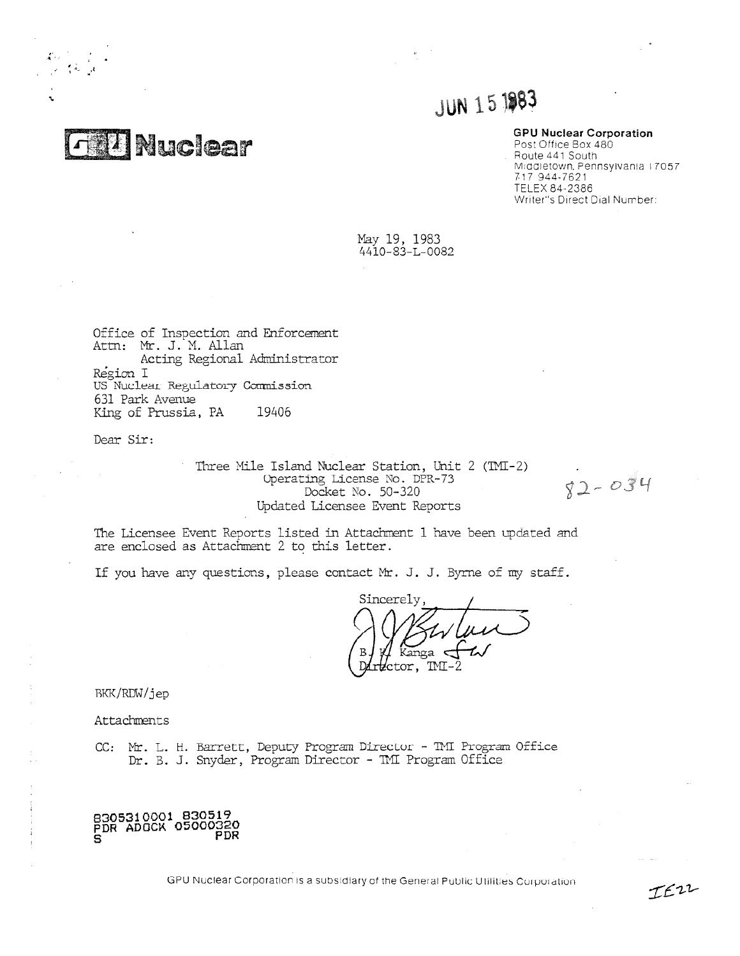**Nuclear** 

•

r

# **JUN 15 1983**

#### **GPU Nuclear Corporation**

Post Office Box 480 . Route 441 South Middletown, Pennsylvania i 7057 7-17 944-7621 TELEX 84-2386 Writer's Direct Dial Number:

May 19, 1983 4410-83-L-0082

Office of Inspection and Enforcement Attn: Mr. J. M. Allan Acting Regional Administrator Region I US Nuclear Regulatory Commission 631 Park Avenue King of Prussia, PA 19406

Dear Sir:

Three Mile Island Nuclear Station, Unit 2 (TMI-2) Operating License No. DPR.- 73 Docket No. 50-320 *Updated* Licensee Event Reports

 $82 - 034$ 

IEZZ

The Licensee Event Reports listed in Attachment 1 have been updated and are enclosed as Attachment 2 to this letter.

If you have any questions, please contact Mr. J. J. Byrne of my staff.

Sincerely,  $\mathcal{M}$ **10** V Kanga <del>C</del>  $\#$  Kanga  $\leftarrow \sim$ ctor, TMI-2

BKK/RDW/jep

Attachments

 $\frac{1}{2}$  . <br> <br> A sequence of  $\frac{1}{2}$  , and  $\frac{1}{2}$ 

CC: Mr. L. H. Barrett, Deputy Program Director - TMI Program Office Dr. B. *J.* Snyder, Program Director - ml Program Office

**8305310001 830519 PDR ADOCA 05000320 PDR**

GPU Nuclear Corporation is a subsidiary of the General Public Utilities Cu poi ation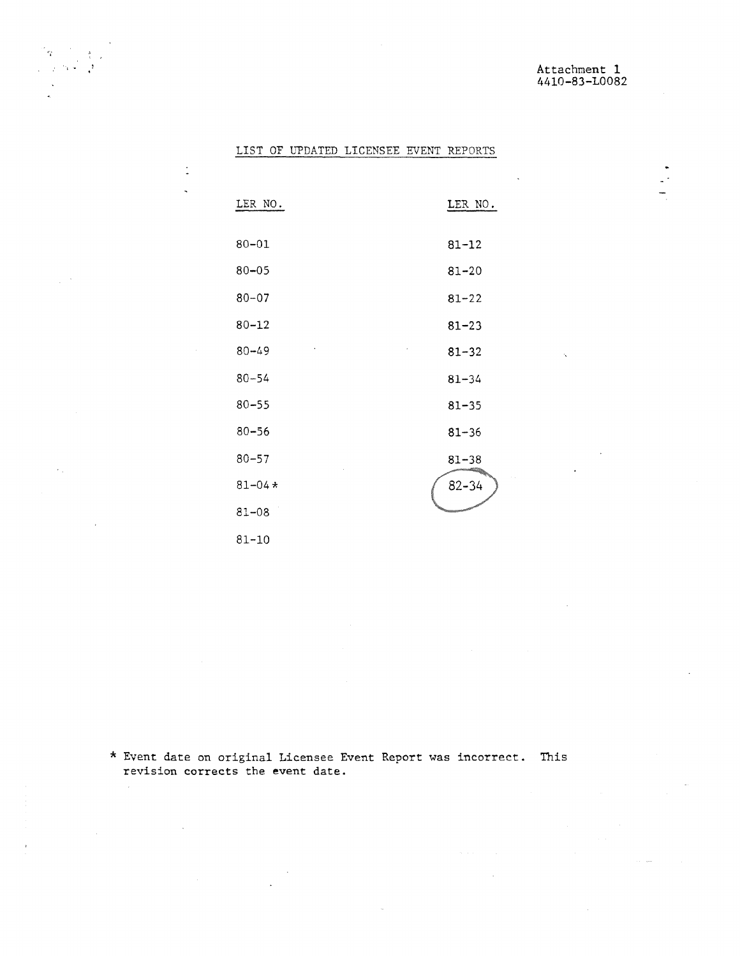$\mathbb{R}^2$ 

# LIST OF UPDATED LICENSEE EVENT REPORTS

 $\gamma$ 

 $\mathbb{Z}^{n \times n}$ 

 $\sim$ 

 $\Delta \sim 10^{11}$ 

 $\ddot{\phantom{a}}$ 

 $\ddot{\phantom{a}}$ 

| LER NO.     | LER NO.   |
|-------------|-----------|
| $80 - 01$   | $81 - 12$ |
| $80 - 05$   | $81 - 20$ |
| $80 - 07$   | $81 - 22$ |
| $80 - 12$   | $81 - 23$ |
| $80 - 49$   | $81 - 32$ |
| $80 - 54$   | $81 - 34$ |
| $80 - 55$   | $81 - 35$ |
| $80 - 56$   | $81 - 36$ |
| $80 - 57$   | $81 - 38$ |
| $81 - 04 *$ | $82 - 34$ |
| $81 - 08$   |           |
| $81 - 10$   |           |

\* Event date on original Licensee Event Report was incorrect. This revision corrects the event date.

 $\mathcal{L}_{\mathcal{L}}$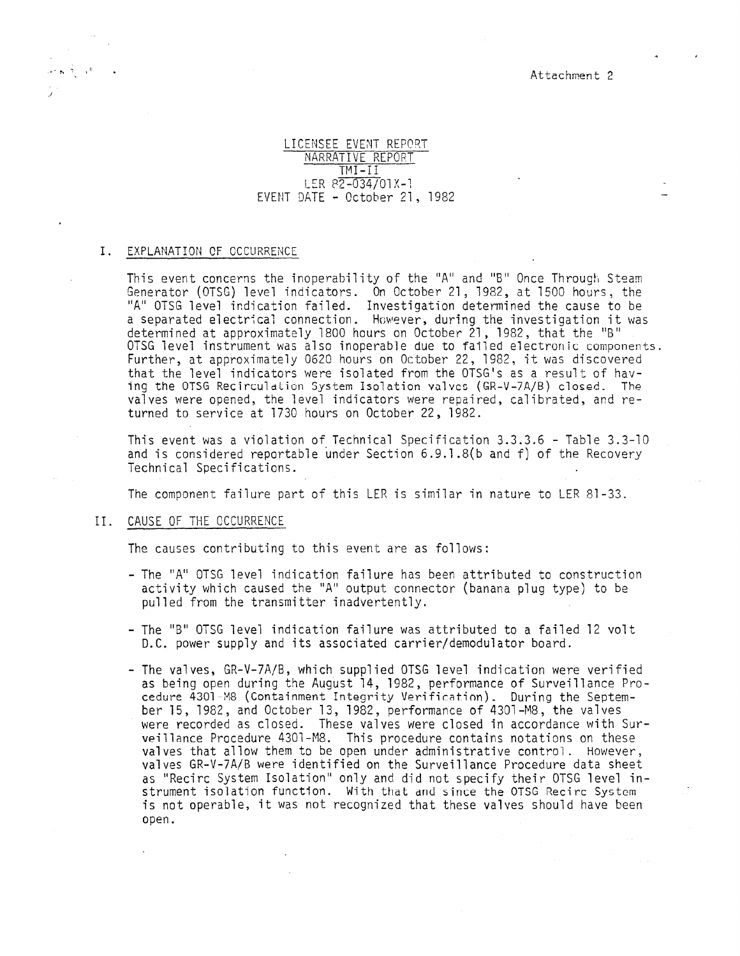Attachment 2

# LICENSEE EVENT REPORT NARRATIVE REPORT TMI-II LER 82-034/01X-1 EVENT DATE - October 21, 1982

#### I. EXPLANATION OF OCCURRENCE

This event concerns the inoperability of the "A" and "8" Once Through Steam Generator (OTSG) level indicators. On October 21, 1982, at 1500 hours, the "A" OTSG level indication failed. Investigation determined the cause to be a separated electrical connection. However, during the investigation it was determined at approximately 1800 hours on October 21, 1982, that the "B" OTSG level instrument was also inoperable due to failed electronic components. Further, at approximately 0620 hours on October 22, 1982, it was discovered that the level indicators were isolated from the OTSG's as a result of having the OTSG Recirculation System Isolation valves (GR-V-7A/B) closed. The valves were opened, the level indicators were repaired, calibrated, and returned to service at 1730 hours on October 22, 1982.

This event was a violation of Technical Specification 3.3.3.6 - Table 3.3-10 and is considered reportable under Section 6.9.1.8(b and f) of the Recovery Technical Specifications.

The component failure part of this LER is similar in nature to LER 81-33.

## II. CAUSE OF THE OCCURRENCE

The causes contributing to this event are as follows:

- The "A" OTSG level indication failure has been attributed to construction activity which caused the "A" output connector (banana plug type) to be pulled from the transmitter inadvertently.
- The "B" OTSG level indication failure was attributed to a failed 12 volt D.C. power supply and its associated carrier/demodulator board.
- The valves, GR-V-7A/B, which supplied OTSG level indication were verified as being open during the August 14, 1982, performance of Surveillance Procedure 4301 M8 (Containment Integrity Verification). During the September 15, 1982, and October 13, 1982, performance of 4301-M8, the valves were recorded as closed. These valves were closed in accordance with Surveillance Procedure 4301-M8. This procedure contains notations on these valves that allow them to be open under administrative control. However, valves GR-V-7A/B were identified on the Surveillance Procedure data sheet as "Recirc System Isolation" only and did not specify their OTSG level instrument isolation function. With that and since the OTSG Recirc System is not operable, it was not recognized that these valves should have been open.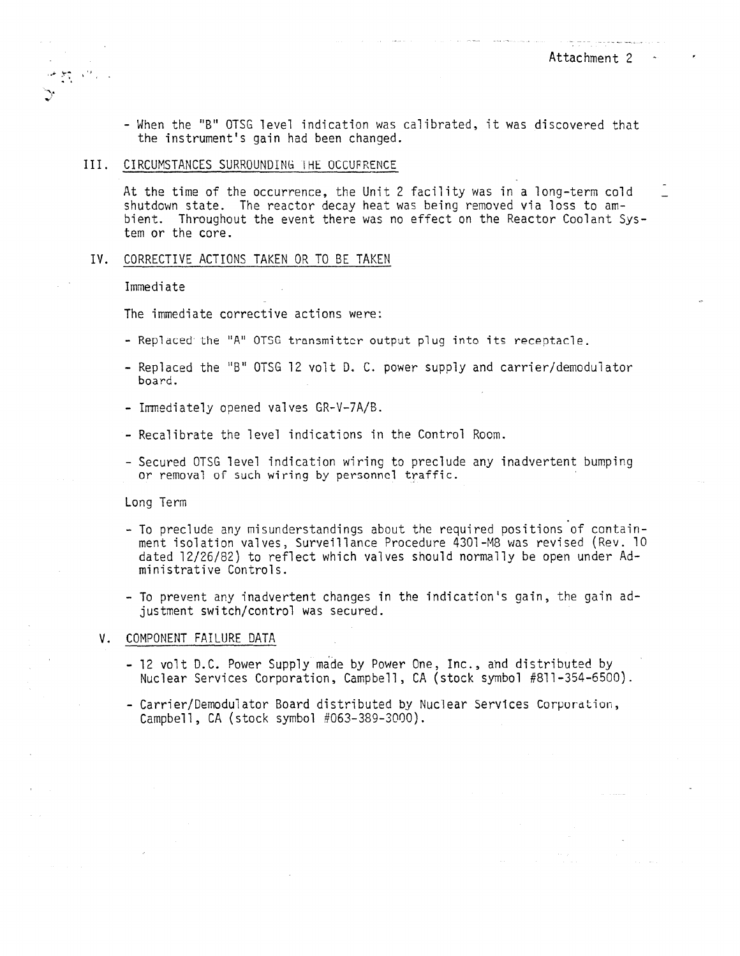- When the "B" OTSG level indication was calibrated, it was discovered that the instrument's gain had been changed.

#### III. CIRCUMSTANCES SURROUNDING THE OCCUFRENCE

At the time of the occurrence, the Unit 2 facility was in a long-term cold shutdown state. The reactor decay heat was being removed via loss to ambient. Throughout the event there was no effect on the Reactor Coolant System or the core.

# IV. CORRECTIVE ACTIONS TAKEN OR TO BE TAKEN

Immediate

 $\frac{1}{\sqrt{2}}\sum_{i=1}^n\frac{1}{\sqrt{2}}\sum_{i=1}^n\frac{1}{\sqrt{2}}\sum_{i=1}^n\frac{1}{\sqrt{2}}\sum_{i=1}^n\frac{1}{\sqrt{2}}\sum_{i=1}^n\frac{1}{\sqrt{2}}\sum_{i=1}^n\frac{1}{\sqrt{2}}\sum_{i=1}^n\frac{1}{\sqrt{2}}\sum_{i=1}^n\frac{1}{\sqrt{2}}\sum_{i=1}^n\frac{1}{\sqrt{2}}\sum_{i=1}^n\frac{1}{\sqrt{2}}\sum_{i=1}^n\frac{1}{\sqrt{2}}\$ 

The immediate corrective actions were:

- Replaced the "A" OTSG transmitter output plug into its receptacle.
- Replaced the "B" OTSG 12 volt D. C. power supply and carrier/demodulator board.
- Immediately opened valves GR-V-7A/B.
- Recalibrate the level indications in the Control Room.
- Secured OTSG level indication wiring to preclude any inadvertent bumping or removal or such wiring by personnel traffic.

Long Term

- To preclude any misunderstandings about the required positions of containment isolation valves, Surveillance Procedure 4301-M8 was revised (Rev. 10 dated 12/26/82) to reflect which valves should normally be open under Administrative Controls.
- To prevent any inadvertent changes in the indication's gain, the gain adjustment switch/control was secured.

#### V. COMPONENT FAILURE DATA

- 12 volt D.C. Power Supply made by Power One, Inc., and distributed by Nuclear Services Corporation, Campbell, CA (stock symbol #811-354-6500).
- Carrier/Demodulator Board distributed by Nuclear Services Corporation, Campbell, CA (stock symbol #063-389-3000).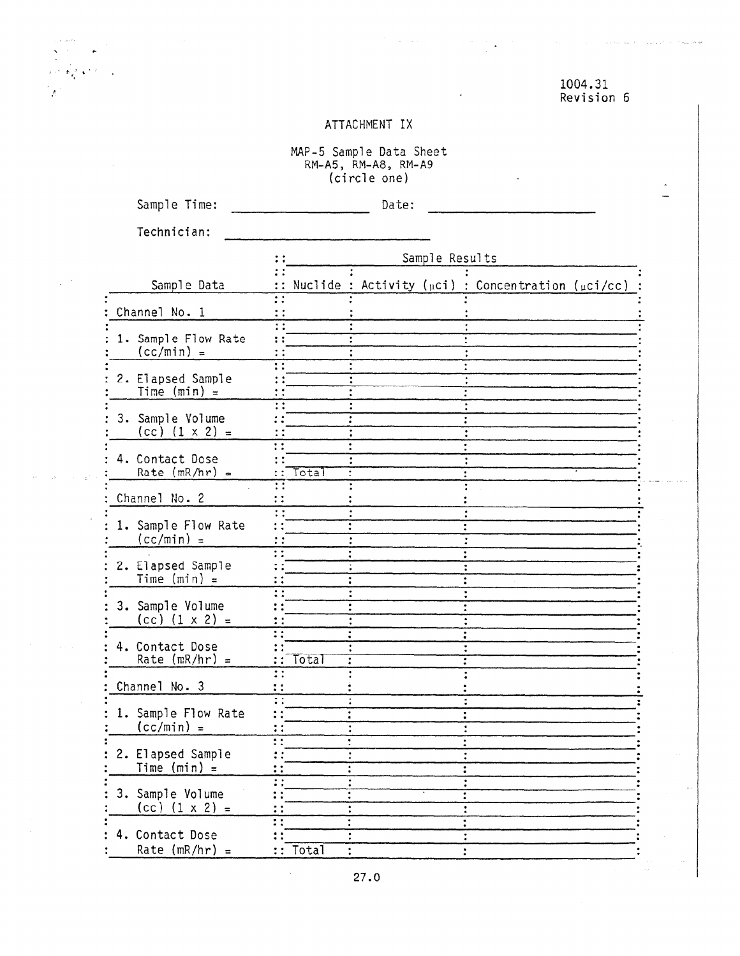# 1004.31 Revision 6

للمحاسب والمتحاول والمتعاونة المستقلة

 $\hat{\boldsymbol{\gamma}}$ 

Ñ.

# ATTACHMENT IX

MAP - 5 Sample Data Sheet RM-A5, RM-A8, RM-A9 (circle one)

Sample Time: Date:

 $\omega_{\rm{eff}}$  is a set of  $\omega_{\rm{eff}}$ 

Technician:

 $\mathfrak{g}(\mathcal{T})\in \mathbb{R}^{N\times 2}$ 

 $\bar{z}$  $\mathcal{L}^{\mathcal{L}}$ 

 $\sim 18$  ,  $\sim 10^{11}$  km s  $^{-1}$ 

 $\overline{I}$ 

|                                             | Sample Results                                                                                |  |
|---------------------------------------------|-----------------------------------------------------------------------------------------------|--|
| Sample Data                                 | :: Nuclide : Activity ( $\mu$ ci) : Concentration ( $\mu$ ci/cc)                              |  |
| Channel No. 1                               | $\mathbf{r}$<br>$\colon$                                                                      |  |
| 1. Sample Flow Rate<br>$(cc/min) =$         | $\vdots$<br>$\mathbf{H}$<br>$\mathbf{\ddot{.}}$                                               |  |
| 2. Elapsed Sample<br>Time $(min) =$         | Ħ<br>$\vdots$<br>: :                                                                          |  |
| 3. Sample Yolume<br>$(cc)$ $(1 \times 2) =$ | $\ddot{\cdot}$<br>$\ddot{\cdot}$                                                              |  |
| 4. Contact Dose<br>Rate $(mR/hr) =$         | $\mathbf{H}$<br>Total<br>÷έ<br>$\ddot{\cdot}$                                                 |  |
| Channel No. 2                               | $\mathbf{::}$<br>$\overline{\cdot}$<br>$\vdots$                                               |  |
| 1. Sample Flow Rate<br>$(cc/min) =$         | ΞĚ<br>$\ddot{\cdot}$<br>$\vdots$<br>$\ddot{\cdot}$<br>$\dddot{\phantom{0}}$<br>$\ddot{\cdot}$ |  |
| 2. Elapsed Sample<br>Time $(min) =$         | $\overline{\cdots}$<br>$\vdots$<br>$\ddot{\phantom{a}}$                                       |  |
| 3. Sample Volume<br>$(cc)$ $(1 \times 2) =$ | $\ddot{\phantom{a}}$ :<br>$\ddot{\cdot}$<br>$\vdots$<br>$\ddot{\phantom{a}}$                  |  |
| 4. Contact Dose<br>Rate $(mR/hr) =$         | $\overline{\mathbf{::}}$<br>Total<br>$\mathbb{R}^{\bullet}$                                   |  |
| Channel No. 3                               | $\vdots$<br>$\mathbf{\ddot{.}}$                                                               |  |
| 1. Sample Flow Rate<br>$(cc/min) =$         | $\overline{\mathbf{H}}$<br>$\ddot{\phantom{1}}$<br>$\vdots$<br>$\ddot{\cdot}$                 |  |
| 2. Elapsed Sample<br>Time $(min) =$         | $\cdot$ :<br>ŧ<br>$\mathbf{\mathbf{:}}$<br>$\ddot{\cdot}$<br>$\vdots$                         |  |
| 3. Sample Volume<br>$(cc)$ $(1 \times 2) =$ | $\overline{\mathbf{H}}$<br>$\ddot{\cdot}$                                                     |  |
| 4. Contact Dose<br>Rate (mR/hr) =           | Ŧ<br>:: Total                                                                                 |  |

 $\bar{\mathcal{A}}$